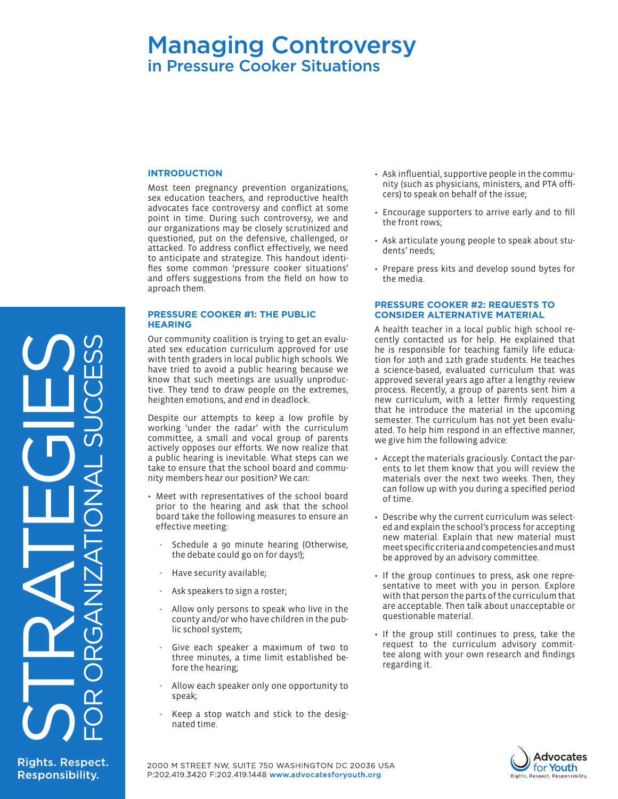# Managing Controversy in Pressure Cooker Situations

#### **INTRODUCTION**

Most teen pregnancy prevention organizations, sex education teachers, and reproductive health advocates face controversy and conflict at some point in time. During such controversy, we and our organizations may be closely scrutinized and questioned, put on the defensive, challenged, or attacked. To address conflict effectively, we need to anticipate and strategize. This handout identifies some common 'pressure cooker situations' and offers suggestions from the field on how to aproach them.

#### **PRESSURE COOKER #1: THE PUBLIC HEARING**

Our community coalition is trying to get an evaluated sex education curriculum approved for use with tenth graders in local public high schools. We have tried to avoid a public hearing because we know that such meetings are usually unproductive. They tend to draw people on the extremes, heighten emotions, and end in deadlock.

Despite our attempts to keep a low profile by working 'under the radar' with the curriculum committee, a small and vocal group of parents actively opposes our efforts. We now realize that a public hearing is inevitable. What steps can we take to ensure that the school board and community members hear our position? We can:

- Meet with representatives of the school board prior to the hearing and ask that the school board take the following measures to ensure an effective meeting:
	- Schedule a 90 minute hearing (Otherwise, the debate could go on for days!);
	- Have security available;
	- Ask speakers to sign a roster;
	- Allow only persons to speak who live in the county and/or who have children in the public school system;
	- Give each speaker a maximum of two to three minutes, a time limit established before the hearing;
	- Allow each speaker only one opportunity to speak;
	- Keep a stop watch and stick to the designated time.
- • Ask influential, supportive people in the community (such as physicians, ministers, and PTA officers) to speak on behalf of the issue;
- Encourage supporters to arrive early and to fill the front rows;
- Ask articulate young people to speak about students' needs;
- Prepare press kits and develop sound bytes for the media.

#### **PRESSURE COOKER #2: REQUESTS TO CONSIDER ALTERNATIVE MATERIAL**

A health teacher in a local public high school re[cently contacted us for help. He explained that](http://www.un.org/womenwatch/daw/cedawtt)  he is responsible for teaching family life education for 10th and 12th grade students. He teaches a science-based, evaluated curriculum that was approved several years ago after a lengthy review process. Recently, a group of parents sent him a new curriculum, with a letter firmly requesting that he introduce the material in the upcoming semester. The curriculum has not yet been evaluated. To help him respond in an effective manner, we give him the following advice:

- • Accept the materials graciously. Contact the parents to let them know that you will review the materials over the next two weeks. Then, they can follow up with you during a specified period of time.
- Describe why the current curriculum was selected and explain the school's process for accepting new material. Explain that new material must meet specific criteria and competencies and must be approved by an advisory committee.
- If the group continues to press, ask one representative to meet with you in person. Explore with that person the parts of the curriculum that are acceptable. Then talk about unacceptable or questionable material.
- If the group still continues to press, take the request to the curriculum advisory committee along with your own research and findings regarding it.



**Rights. Respect. Responsibility.** 

STRATEGIES

FOR ORGANIZATIONAL SUCCESS

2000 M STREET NW, SUITE 750 WASHINGTON DC 20036 USA P:202.419.3420 F:202.419.1448 www.advocatesforyouth.org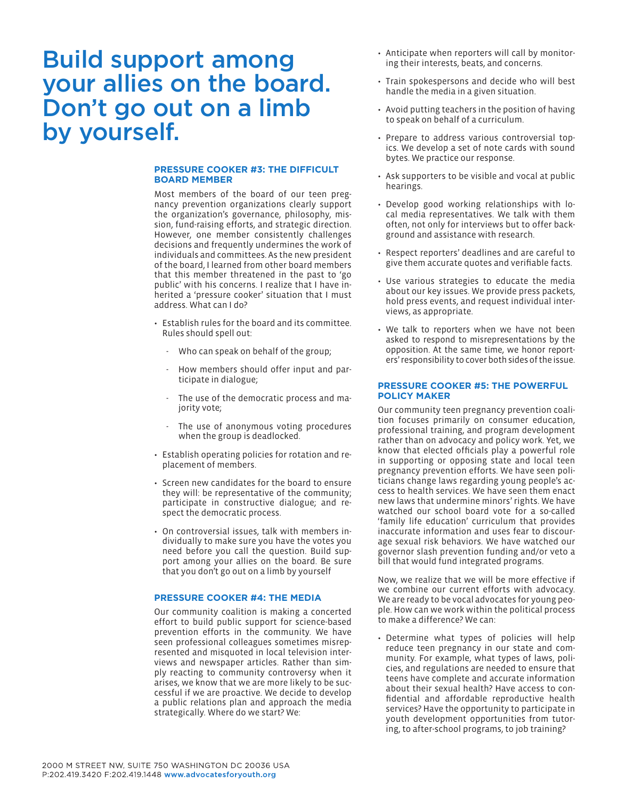# Build support among your allies on the board. Don't go out on a limb by yourself.

### **PRESSURE COOKER #3: THE DIFFICULT BOARD MEMBER**

Most members of the board of our teen pregnancy prevention organizations clearly support the organization's governance, philosophy, mission, fund-raising efforts, and strategic direction. However, one member consistently challenges decisions and frequently undermines the work of individuals and committees. As the new president of the board, I learned from other board members that this member threatened in the past to 'go public' with his concerns. I realize that I have inherited a 'pressure cooker' situation that I must address. What can I do?

- • Establish rules for the board and its committee. Rules should spell out:
	- Who can speak on behalf of the group;
	- How members should offer input and participate in dialogue;
	- The use of the democratic process and majority vote;
	- The use of anonymous voting procedures when the group is deadlocked.
- Establish operating policies for rotation and replacement of members.
- • Screen new candidates for the board to ensure they will: be representative of the community; participate in constructive dialogue; and respect the democratic process.
- On controversial issues, talk with members individually to make sure you have the votes you need before you call the question. Build support among your allies on the board. Be sure that you don't go out on a limb by yourself

#### **PRESSURE COOKER #4: THE MEDIA**

Our community coalition is making a concerted effort to build public support for science-based prevention efforts in the community. We have seen professional colleagues sometimes misrepresented and misquoted in local television interviews and newspaper articles. Rather than simply reacting to community controversy when it arises, we know that we are more likely to be successful if we are proactive. We decide to develop a public relations plan and approach the media strategically. Where do we start? We:

- Anticipate when reporters will call by monitoring their interests, beats, and concerns.
- Train spokespersons and decide who will best handle the media in a given situation.
- Avoid putting teachers in the position of having to speak on behalf of a curriculum.
- Prepare to address various controversial topics. We develop a set of note cards with sound bytes. We practice our response.
- Ask supporters to be visible and vocal at public hearings.
- Develop good working relationships with local media representatives. We talk with them often, not only for interviews but to offer background and assistance with research.
- • Respect reporters' deadlines and are careful to give them accurate quotes and verifiable facts.
- Use various strategies to educate the media about our key issues. We provide press packets, hold press events, and request individual interviews, as appropriate.
- We talk to reporters when we have not been asked to respond to misrepresentations by the opposition. At the same time, we honor reporters' responsibility to cover both sides of the issue.

#### **PRESSURE COOKER #5: THE POWERFUL POLICY MAKER**

Our community teen pregnancy prevention coalition focuses primarily on consumer education, professional training, and program development rather than on advocacy and policy work. Yet, we know that elected officials play a powerful role in supporting or opposing state and local teen pregnancy prevention efforts. We have seen politicians change laws regarding young people's access to health services. We have seen them enact new laws that undermine minors' rights. We have watched our school board vote for a so-called 'family life education' curriculum that provides inaccurate information and uses fear to discourage sexual risk behaviors. We have watched our governor slash prevention funding and/or veto a bill that would fund integrated programs.

Now, we realize that we will be more effective if we combine our current efforts with advocacy. We are ready to be vocal advocates for young people. How can we work within the political process to make a difference? We can:

• Determine what types of policies will help reduce teen pregnancy in our state and community. For example, what types of laws, policies, and regulations are needed to ensure that teens have complete and accurate information about their sexual health? Have access to confidential and affordable reproductive health services? Have the opportunity to participate in youth development opportunities from tutoring, to after-school programs, to job training?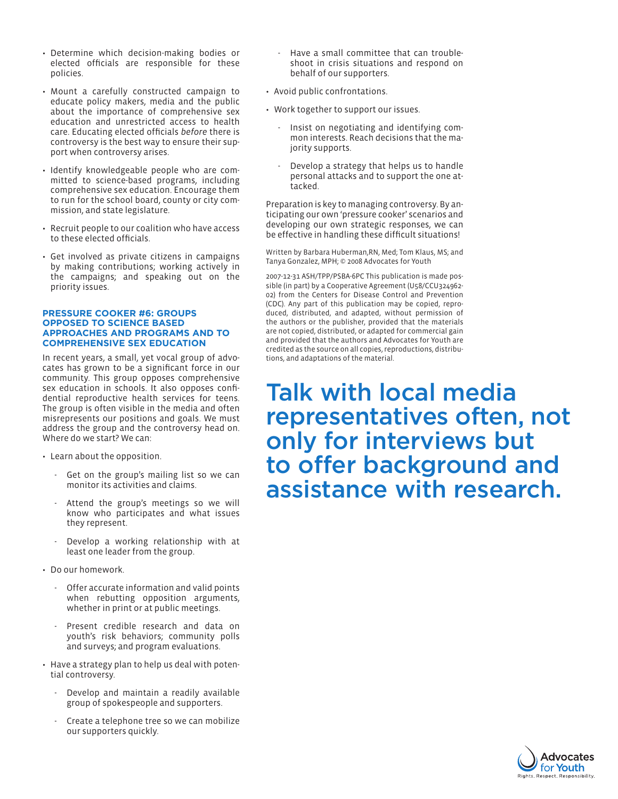- Determine which decision-making bodies or elected officials are responsible for these policies.
- Mount a carefully constructed campaign to educate policy makers, media and the public about the importance of comprehensive sex education and unrestricted access to health care. Educating elected officials *before* there is controversy is the best way to ensure their support when controversy arises.
- Identify knowledgeable people who are committed to science-based programs, including comprehensive sex education. Encourage them to run for the school board, county or city commission, and state legislature.
- • Recruit people to our coalition who have access to these elected officials.
- Get involved as private citizens in campaigns by making contributions; working actively in the campaigns; and speaking out on the priority issues.

#### **PRESSURE COOKER #6: GROUPS OPPOSED TO SCIENCE BASED APPROACHES AND PROGRAMS AND TO COMPREHENSIVE SEX EDUCATION**

In recent years, a small, yet vocal group of advocates has grown to be a significant force in our community. This group opposes comprehensive sex education in schools. It also opposes confidential reproductive health services for teens. The group is often visible in the media and often misrepresents our positions and goals. We must address the group and the controversy head on. Where do we start? We can:

- Learn about the opposition.
	- Get on the group's mailing list so we can monitor its activities and claims.
	- Attend the group's meetings so we will know who participates and what issues they represent.
	- Develop a working relationship with at least one leader from the group.
- • Do our homework.
	- Offer accurate information and valid points when rebutting opposition arguments, whether in print or at public meetings.
	- Present credible research and data on youth's risk behaviors; community polls and surveys; and program evaluations.
- Have a strategy plan to help us deal with potential controversy.
	- Develop and maintain a readily available group of spokespeople and supporters.
	- Create a telephone tree so we can mobilize our supporters quickly.
- Have a small committee that can troubleshoot in crisis situations and respond on behalf of our supporters.
- Avoid public confrontations.
- Work together to support our issues.
	- Insist on negotiating and identifying common interests. Reach decisions that the majority supports.
	- Develop a strategy that helps us to handle personal attacks and to support the one attacked.

Preparation is key to managing controversy. By anticipating our own 'pressure cooker' scenarios and developing our own strategic responses, we can be effective in handling these difficult situations!

Written by Barbara Huberman,RN, Med; Tom Klaus, MS; and Tanya Gonzalez, MPH; © 2008 Advocates for Youth

2007-12-31 ASH/TPP/PSBA-6PC This publication is made possible (in part) by a Cooperative Agreement (U58/CCU324962- 02) from the Centers for Disease Control and Prevention (CDC). Any part of this publication may be copied, reproduced, distributed, and adapted, without permission of the authors or the publisher, provided that the materials are not copied, distributed, or adapted for commercial gain and provided that the authors and Advocates for Youth are credited as the source on all copies, reproductions, distributions, and adaptations of the material.

Talk with local media representatives often, not only for interviews but to offer background and assistance with research.